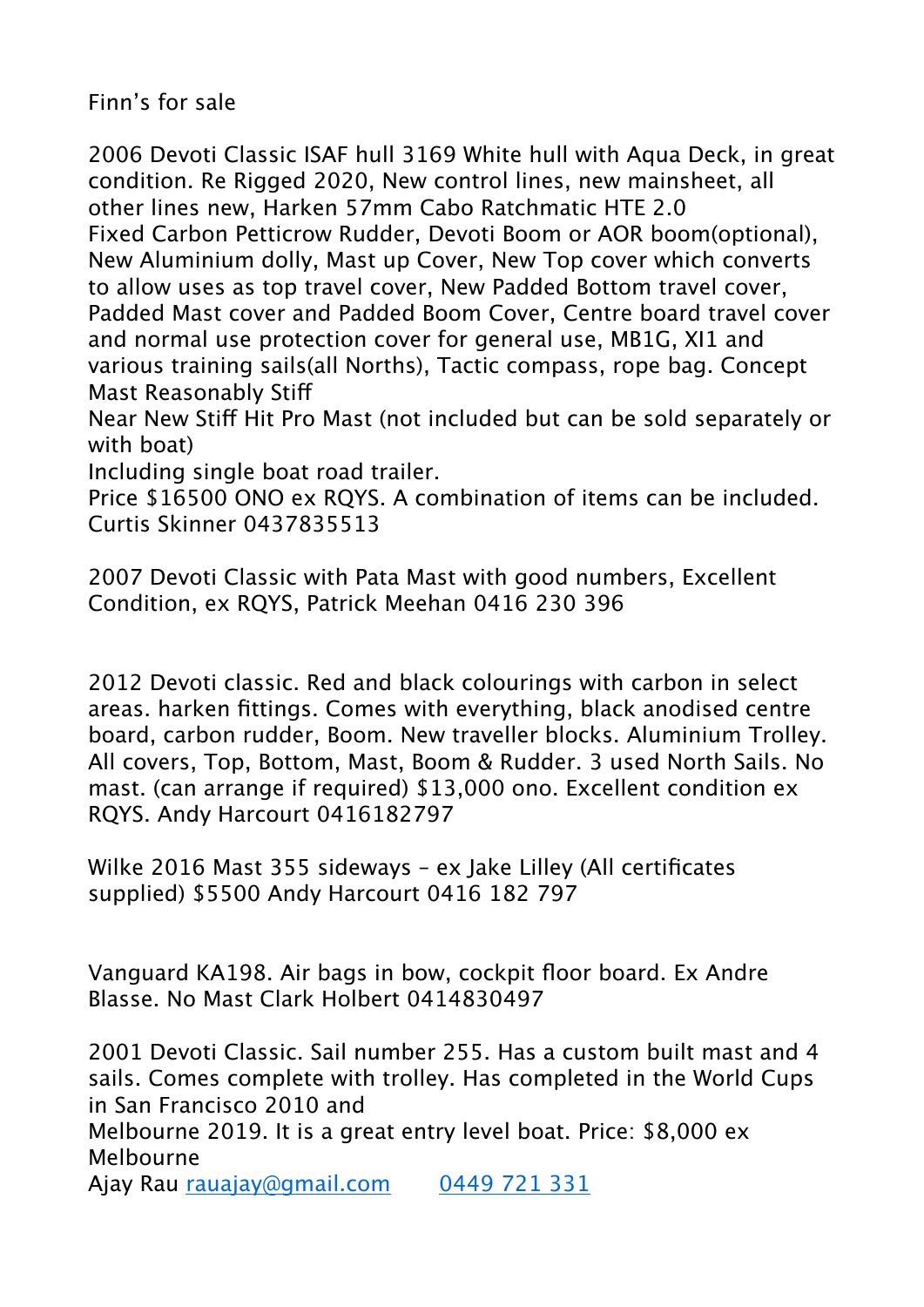Finn's for sale

2006 Devoti Classic ISAF hull 3169 White hull with Aqua Deck, in great condition. Re Rigged 2020, New control lines, new mainsheet, all other lines new, Harken 57mm Cabo Ratchmatic HTE 2.0 Fixed Carbon Petticrow Rudder, Devoti Boom or AOR boom(optional), New Aluminium dolly, Mast up Cover, New Top cover which converts to allow uses as top travel cover, New Padded Bottom travel cover, Padded Mast cover and Padded Boom Cover, Centre board travel cover and normal use protection cover for general use, MB1G, XI1 and various training sails(all Norths), Tactic compass, rope bag. Concept Mast Reasonably Stiff

Near New Stiff Hit Pro Mast (not included but can be sold separately or with boat)

Including single boat road trailer.

Price \$16500 ONO ex RQYS. A combination of items can be included. Curtis Skinner 0437835513

2007 Devoti Classic with Pata Mast with good numbers, Excellent Condition, ex RQYS, Patrick Meehan 0416 230 396

2012 Devoti classic. Red and black colourings with carbon in select areas. harken fittings. Comes with everything, black anodised centre board, carbon rudder, Boom. New traveller blocks. Aluminium Trolley. All covers, Top, Bottom, Mast, Boom & Rudder. 3 used North Sails. No mast. (can arrange if required) \$13,000 ono. Excellent condition ex RQYS. Andy Harcourt 0416182797

Wilke 2016 Mast 355 sideways – ex Jake Lilley (All certificates supplied) \$5500 Andy Harcourt 0416 182 797

Vanguard KA198. Air bags in bow, cockpit floor board. Ex Andre Blasse. No Mast Clark Holbert 0414830497

2001 Devoti Classic. Sail number 255. Has a custom built mast and 4 sails. Comes complete with trolley. Has completed in the World Cups in San Francisco 2010 and Melbourne 2019. It is a great entry level boat. Price: \$8,000 ex Melbourne Ajay Rau [rauajay@gmail.com](mailto:rauajay@gmail.com) 0449 721 331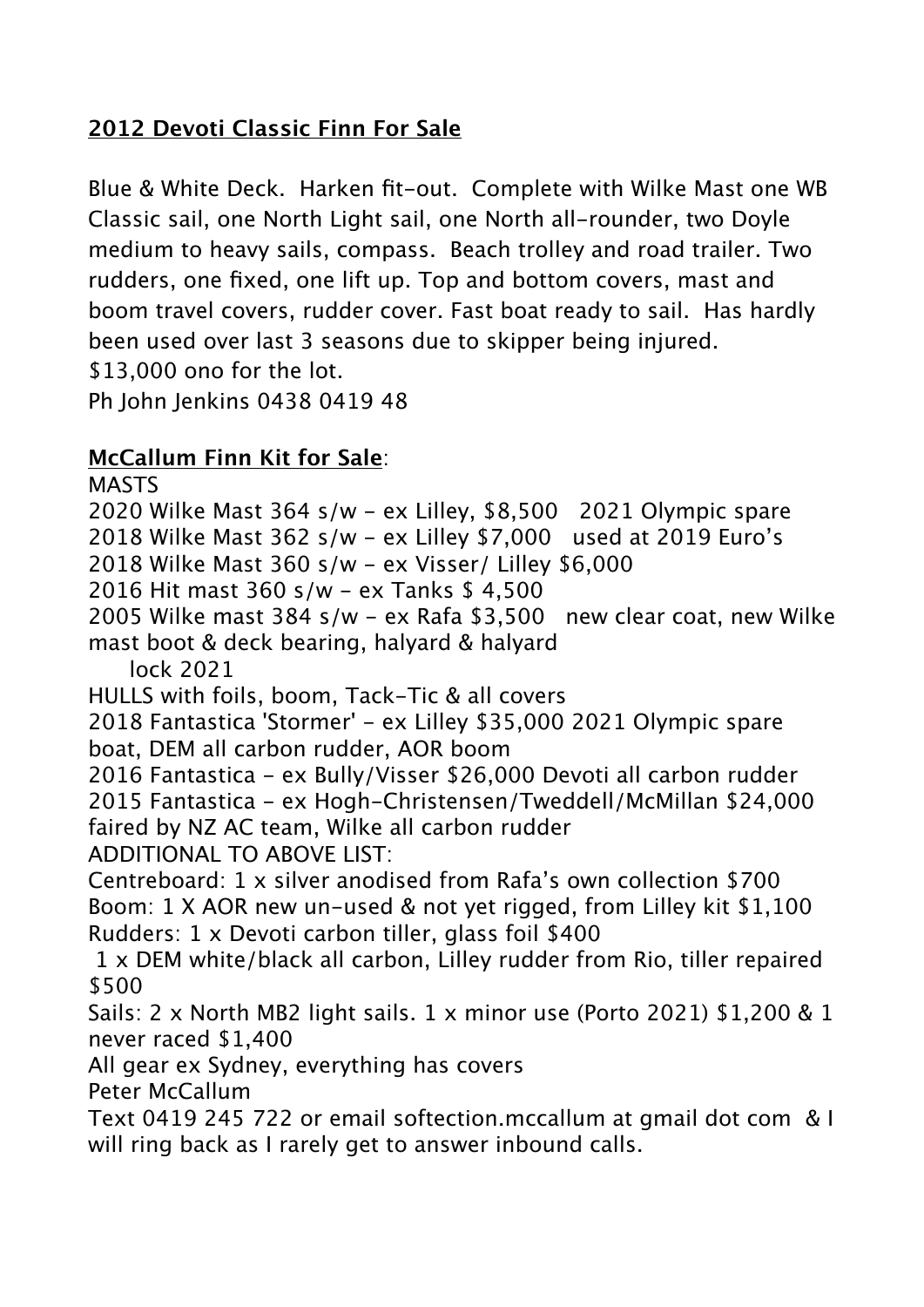## **2012 Devoti Classic Finn For Sale**

Blue & White Deck. Harken fit-out. Complete with Wilke Mast one WB Classic sail, one North Light sail, one North all-rounder, two Doyle medium to heavy sails, compass. Beach trolley and road trailer. Two rudders, one fixed, one lift up. Top and bottom covers, mast and boom travel covers, rudder cover. Fast boat ready to sail. Has hardly been used over last 3 seasons due to skipper being injured. \$13,000 ono for the lot. Ph John Jenkins 0438 0419 48

## **McCallum Finn Kit for Sale**:

MASTS 2020 Wilke Mast 364 s/w - ex Lilley, \$8,500 2021 Olympic spare 2018 Wilke Mast 362 s/w - ex Lilley \$7,000 used at 2019 Euro's 2018 Wilke Mast 360 s/w - ex Visser/ Lilley \$6,000 2016 Hit mast 360 s/w - ex Tanks \$ 4,500 2005 Wilke mast 384 s/w - ex Rafa \$3,500 new clear coat, new Wilke mast boot & deck bearing, halyard & halyard lock 2021 HULLS with foils, boom, Tack-Tic & all covers 2018 Fantastica 'Stormer' - ex Lilley \$35,000 2021 Olympic spare boat, DEM all carbon rudder, AOR boom 2016 Fantastica - ex Bully/Visser \$26,000 Devoti all carbon rudder 2015 Fantastica - ex Hogh-Christensen/Tweddell/McMillan \$24,000 faired by NZ AC team, Wilke all carbon rudder ADDITIONAL TO ABOVE LIST: Centreboard: 1 x silver anodised from Rafa's own collection \$700 Boom: 1 X AOR new un-used & not yet rigged, from Lilley kit \$1,100 Rudders: 1 x Devoti carbon tiller, glass foil \$400 1 x DEM white/black all carbon, Lilley rudder from Rio, tiller repaired \$500 Sails: 2 x North MB2 light sails. 1 x minor use (Porto 2021) \$1,200 & 1 never raced \$1,400 All gear ex Sydney, everything has covers Peter McCallum Text 0419 245 722 or email softection.mccallum at gmail dot com & I will ring back as I rarely get to answer inbound calls.